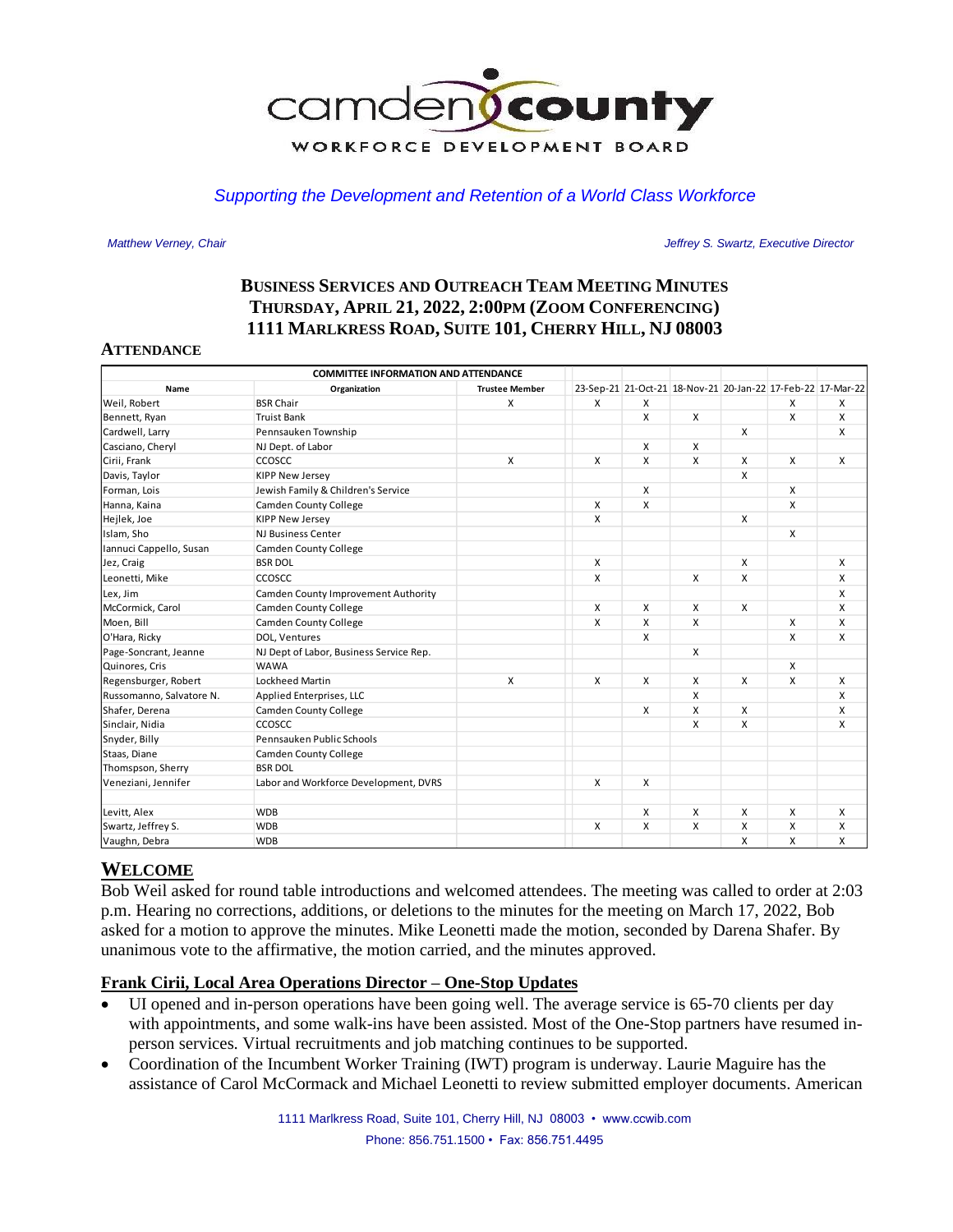

### *Supporting the Development and Retention of a World Class Workforce*

 *Matthew Verney, Chair Jeffrey S. Swartz, Executive Director* 

# **BUSINESS SERVICES AND OUTREACH TEAM MEETING MINUTES THURSDAY, APRIL 21, 2022, 2:00PM (ZOOM CONFERENCING) 1111 MARLKRESS ROAD, SUITE 101, CHERRY HILL, NJ 08003**

#### **ATTENDANCE**

| <b>COMMITTEE INFORMATION AND ATTENDANCE</b> |                                         |                       |   |   |                                                             |   |   |   |
|---------------------------------------------|-----------------------------------------|-----------------------|---|---|-------------------------------------------------------------|---|---|---|
| Name                                        | Organization                            | <b>Trustee Member</b> |   |   | 23-Sep-21 21-Oct-21 18-Nov-21 20-Jan-22 17-Feb-22 17-Mar-22 |   |   |   |
| Weil, Robert                                | <b>BSR Chair</b>                        | X                     | X | X |                                                             |   | X | X |
| Bennett, Ryan                               | <b>Truist Bank</b>                      |                       |   | X | X                                                           |   | X | X |
| Cardwell, Larry                             | Pennsauken Township                     |                       |   |   |                                                             | X |   | X |
| Casciano, Cheryl                            | NJ Dept. of Labor                       |                       |   | X | X                                                           |   |   |   |
| Cirii, Frank                                | CCOSCC                                  | X                     | X | X | X                                                           | X | X | X |
| Davis, Taylor                               | <b>KIPP New Jersey</b>                  |                       |   |   |                                                             | X |   |   |
| Forman, Lois                                | Jewish Family & Children's Service      |                       |   | X |                                                             |   | X |   |
| Hanna, Kaina                                | <b>Camden County College</b>            |                       | X | X |                                                             |   | X |   |
| Hejlek, Joe                                 | <b>KIPP New Jersey</b>                  |                       | x |   |                                                             | X |   |   |
| Islam, Sho                                  | <b>NJ Business Center</b>               |                       |   |   |                                                             |   | X |   |
| Iannuci Cappello, Susan                     | <b>Camden County College</b>            |                       |   |   |                                                             |   |   |   |
| Jez, Craig                                  | <b>BSR DOL</b>                          |                       | x |   |                                                             | X |   | Χ |
| Leonetti, Mike                              | CCOSCC                                  |                       | X |   | X                                                           | X |   | X |
| Lex, Jim                                    | Camden County Improvement Authority     |                       |   |   |                                                             |   |   | X |
| McCormick, Carol                            | <b>Camden County College</b>            |                       | X | X | X                                                           | X |   | X |
| Moen, Bill                                  | <b>Camden County College</b>            |                       | X | X | X                                                           |   | X | X |
| O'Hara, Ricky                               | DOL, Ventures                           |                       |   | X |                                                             |   | X | X |
| Page-Soncrant, Jeanne                       | NJ Dept of Labor, Business Service Rep. |                       |   |   | X                                                           |   |   |   |
| Quinores, Cris                              | <b>WAWA</b>                             |                       |   |   |                                                             |   | X |   |
| Regensburger, Robert                        | Lockheed Martin                         | X                     | X | X | X                                                           | X | X | X |
| Russomanno, Salvatore N.                    | Applied Enterprises, LLC                |                       |   |   | X                                                           |   |   | X |
| Shafer, Derena                              | <b>Camden County College</b>            |                       |   | X | X                                                           | X |   | X |
| Sinclair, Nidia                             | CCOSCC                                  |                       |   |   | X                                                           | X |   | X |
| Snyder, Billy                               | Pennsauken Public Schools               |                       |   |   |                                                             |   |   |   |
| Staas, Diane                                | Camden County College                   |                       |   |   |                                                             |   |   |   |
| Thomspson, Sherry                           | <b>BSR DOL</b>                          |                       |   |   |                                                             |   |   |   |
| Veneziani, Jennifer                         | Labor and Workforce Development, DVRS   |                       | X | X |                                                             |   |   |   |
| Levitt, Alex                                | <b>WDB</b>                              |                       |   | X | X                                                           | X | X | X |
| Swartz, Jeffrey S.                          | <b>WDB</b>                              |                       | x | X | X                                                           | X | X | X |
| Vaughn, Debra                               | <b>WDB</b>                              |                       |   |   |                                                             | X | X | X |

## **WELCOME**

Bob Weil asked for round table introductions and welcomed attendees. The meeting was called to order at 2:03 p.m. Hearing no corrections, additions, or deletions to the minutes for the meeting on March 17, 2022, Bob asked for a motion to approve the minutes. Mike Leonetti made the motion, seconded by Darena Shafer. By unanimous vote to the affirmative, the motion carried, and the minutes approved.

#### **Frank Cirii, Local Area Operations Director – One-Stop Updates**

- UI opened and in-person operations have been going well. The average service is 65-70 clients per day with appointments, and some walk-ins have been assisted. Most of the One-Stop partners have resumed inperson services. Virtual recruitments and job matching continues to be supported.
- Coordination of the Incumbent Worker Training (IWT) program is underway. Laurie Maguire has the assistance of Carol McCormack and Michael Leonetti to review submitted employer documents. American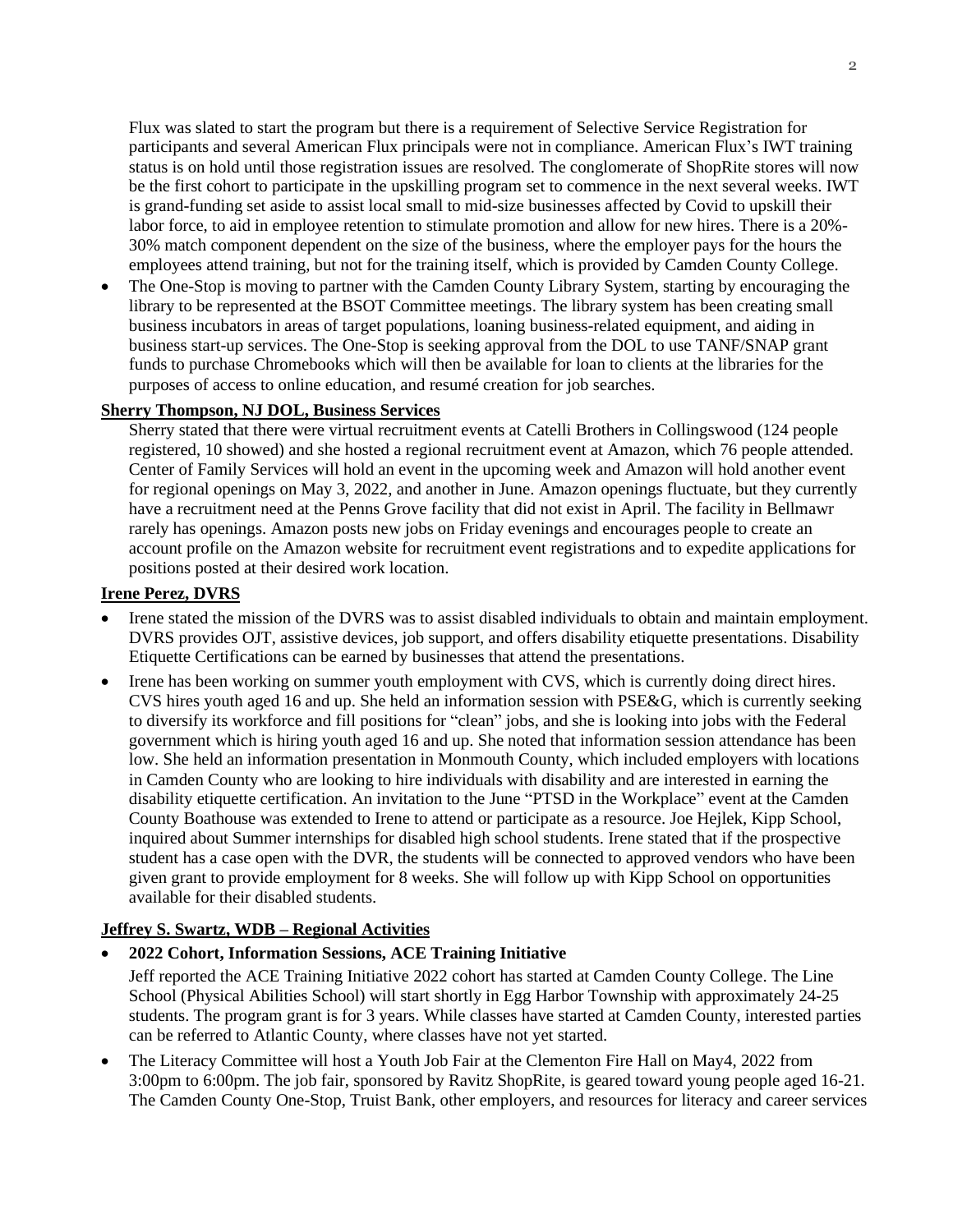Flux was slated to start the program but there is a requirement of Selective Service Registration for participants and several American Flux principals were not in compliance. American Flux's IWT training status is on hold until those registration issues are resolved. The conglomerate of ShopRite stores will now be the first cohort to participate in the upskilling program set to commence in the next several weeks. IWT is grand-funding set aside to assist local small to mid-size businesses affected by Covid to upskill their labor force, to aid in employee retention to stimulate promotion and allow for new hires. There is a 20%- 30% match component dependent on the size of the business, where the employer pays for the hours the employees attend training, but not for the training itself, which is provided by Camden County College.

• The One-Stop is moving to partner with the Camden County Library System, starting by encouraging the library to be represented at the BSOT Committee meetings. The library system has been creating small business incubators in areas of target populations, loaning business-related equipment, and aiding in business start-up services. The One-Stop is seeking approval from the DOL to use TANF/SNAP grant funds to purchase Chromebooks which will then be available for loan to clients at the libraries for the purposes of access to online education, and resumé creation for job searches.

### **Sherry Thompson, NJ DOL, Business Services**

Sherry stated that there were virtual recruitment events at Catelli Brothers in Collingswood (124 people registered, 10 showed) and she hosted a regional recruitment event at Amazon, which 76 people attended. Center of Family Services will hold an event in the upcoming week and Amazon will hold another event for regional openings on May 3, 2022, and another in June. Amazon openings fluctuate, but they currently have a recruitment need at the Penns Grove facility that did not exist in April. The facility in Bellmawr rarely has openings. Amazon posts new jobs on Friday evenings and encourages people to create an account profile on the Amazon website for recruitment event registrations and to expedite applications for positions posted at their desired work location.

#### **Irene Perez, DVRS**

- Irene stated the mission of the DVRS was to assist disabled individuals to obtain and maintain employment. DVRS provides OJT, assistive devices, job support, and offers disability etiquette presentations. Disability Etiquette Certifications can be earned by businesses that attend the presentations.
- Irene has been working on summer youth employment with CVS, which is currently doing direct hires. CVS hires youth aged 16 and up. She held an information session with PSE&G, which is currently seeking to diversify its workforce and fill positions for "clean" jobs, and she is looking into jobs with the Federal government which is hiring youth aged 16 and up. She noted that information session attendance has been low. She held an information presentation in Monmouth County, which included employers with locations in Camden County who are looking to hire individuals with disability and are interested in earning the disability etiquette certification. An invitation to the June "PTSD in the Workplace" event at the Camden County Boathouse was extended to Irene to attend or participate as a resource. Joe Hejlek, Kipp School, inquired about Summer internships for disabled high school students. Irene stated that if the prospective student has a case open with the DVR, the students will be connected to approved vendors who have been given grant to provide employment for 8 weeks. She will follow up with Kipp School on opportunities available for their disabled students.

## **Jeffrey S. Swartz, WDB – Regional Activities**

- **2022 Cohort, Information Sessions, ACE Training Initiative**  Jeff reported the ACE Training Initiative 2022 cohort has started at Camden County College. The Line School (Physical Abilities School) will start shortly in Egg Harbor Township with approximately 24-25 students. The program grant is for 3 years. While classes have started at Camden County, interested parties can be referred to Atlantic County, where classes have not yet started.
- The Literacy Committee will host a Youth Job Fair at the Clementon Fire Hall on May4, 2022 from 3:00pm to 6:00pm. The job fair, sponsored by Ravitz ShopRite, is geared toward young people aged 16-21. The Camden County One-Stop, Truist Bank, other employers, and resources for literacy and career services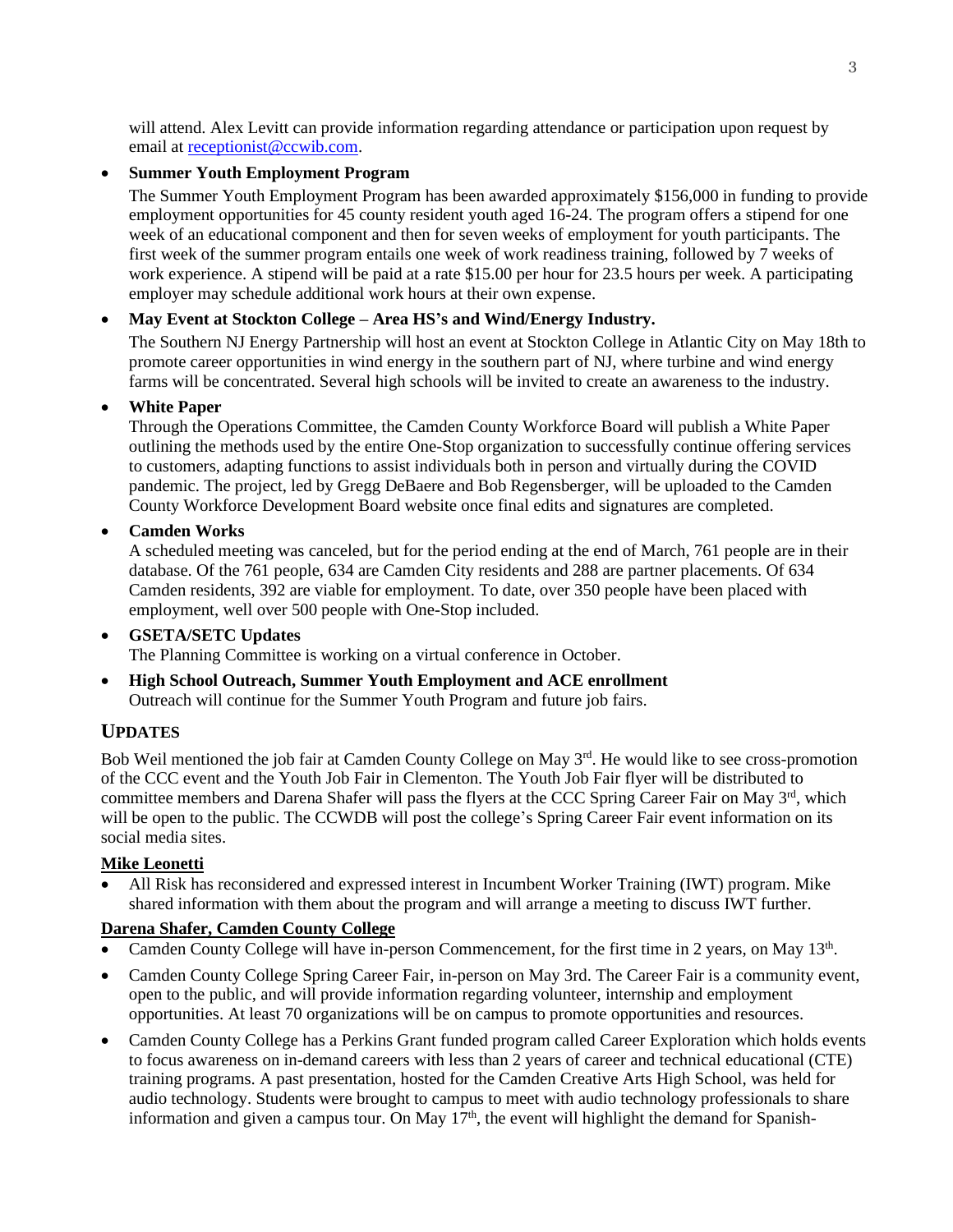will attend. Alex Levitt can provide information regarding attendance or participation upon request by email a[t receptionist@ccwib.com.](mailto:receptionist@ccwib.com)

### • **Summer Youth Employment Program**

The Summer Youth Employment Program has been awarded approximately \$156,000 in funding to provide employment opportunities for 45 county resident youth aged 16-24. The program offers a stipend for one week of an educational component and then for seven weeks of employment for youth participants. The first week of the summer program entails one week of work readiness training, followed by 7 weeks of work experience. A stipend will be paid at a rate \$15.00 per hour for 23.5 hours per week. A participating employer may schedule additional work hours at their own expense.

## • **May Event at Stockton College – Area HS's and Wind/Energy Industry.**

The Southern NJ Energy Partnership will host an event at Stockton College in Atlantic City on May 18th to promote career opportunities in wind energy in the southern part of NJ, where turbine and wind energy farms will be concentrated. Several high schools will be invited to create an awareness to the industry.

### • **White Paper**

Through the Operations Committee, the Camden County Workforce Board will publish a White Paper outlining the methods used by the entire One-Stop organization to successfully continue offering services to customers, adapting functions to assist individuals both in person and virtually during the COVID pandemic. The project, led by Gregg DeBaere and Bob Regensberger, will be uploaded to the Camden County Workforce Development Board website once final edits and signatures are completed.

## • **Camden Works**

A scheduled meeting was canceled, but for the period ending at the end of March, 761 people are in their database. Of the 761 people, 634 are Camden City residents and 288 are partner placements. Of 634 Camden residents, 392 are viable for employment. To date, over 350 people have been placed with employment, well over 500 people with One-Stop included.

#### • **GSETA/SETC Updates** The Planning Committee is working on a virtual conference in October.

• **High School Outreach, Summer Youth Employment and ACE enrollment** Outreach will continue for the Summer Youth Program and future job fairs.

## **UPDATES**

Bob Weil mentioned the job fair at Camden County College on May 3<sup>rd</sup>. He would like to see cross-promotion of the CCC event and the Youth Job Fair in Clementon. The Youth Job Fair flyer will be distributed to committee members and Darena Shafer will pass the flyers at the CCC Spring Career Fair on May 3rd, which will be open to the public. The CCWDB will post the college's Spring Career Fair event information on its social media sites.

## **Mike Leonetti**

• All Risk has reconsidered and expressed interest in Incumbent Worker Training (IWT) program. Mike shared information with them about the program and will arrange a meeting to discuss IWT further.

## **Darena Shafer, Camden County College**

- Camden County College will have in-person Commencement, for the first time in 2 years, on May 13<sup>th</sup>.
- Camden County College Spring Career Fair, in-person on May 3rd. The Career Fair is a community event, open to the public, and will provide information regarding volunteer, internship and employment opportunities. At least 70 organizations will be on campus to promote opportunities and resources.
- Camden County College has a Perkins Grant funded program called Career Exploration which holds events to focus awareness on in-demand careers with less than 2 years of career and technical educational (CTE) training programs. A past presentation, hosted for the Camden Creative Arts High School, was held for audio technology. Students were brought to campus to meet with audio technology professionals to share information and given a campus tour. On May  $17<sup>th</sup>$ , the event will highlight the demand for Spanish-